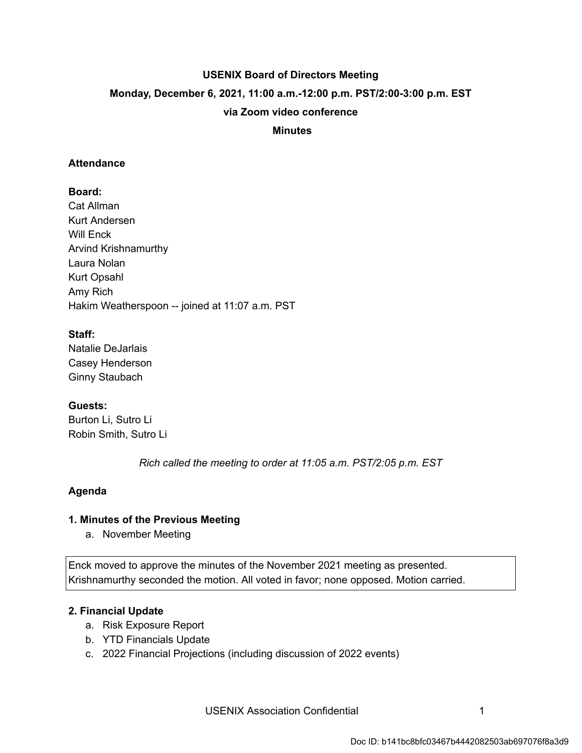# **USENIX Board of Directors Meeting Monday, December 6, 2021, 11:00 a.m.-12:00 p.m. PST/2:00-3:00 p.m. EST via Zoom video conference**

#### **Minutes**

#### **Attendance**

## **Board:**

Cat Allman Kurt Andersen Will Enck Arvind Krishnamurthy Laura Nolan Kurt Opsahl Amy Rich Hakim Weatherspoon -- joined at 11:07 a.m. PST

## **Staff:**

Natalie DeJarlais Casey Henderson Ginny Staubach

## **Guests:**

Burton Li, Sutro Li Robin Smith, Sutro Li

 *Rich called the meeting to order at 11:05 a.m. PST/2:05 p.m. EST* 

## **Agenda**

## **1. Minutes of the Previous Meeting**

a. November Meeting

Enck moved to approve the minutes of the November 2021 meeting as presented. Krishnamurthy seconded the motion. All voted in favor; none opposed. Motion carried.

## **2. Financial Update**

- a. Risk Exposure Report
- b. YTD Financials Update
- c. 2022 Financial Projections (including discussion of 2022 events)

USENIX Association Confidential **1** 1